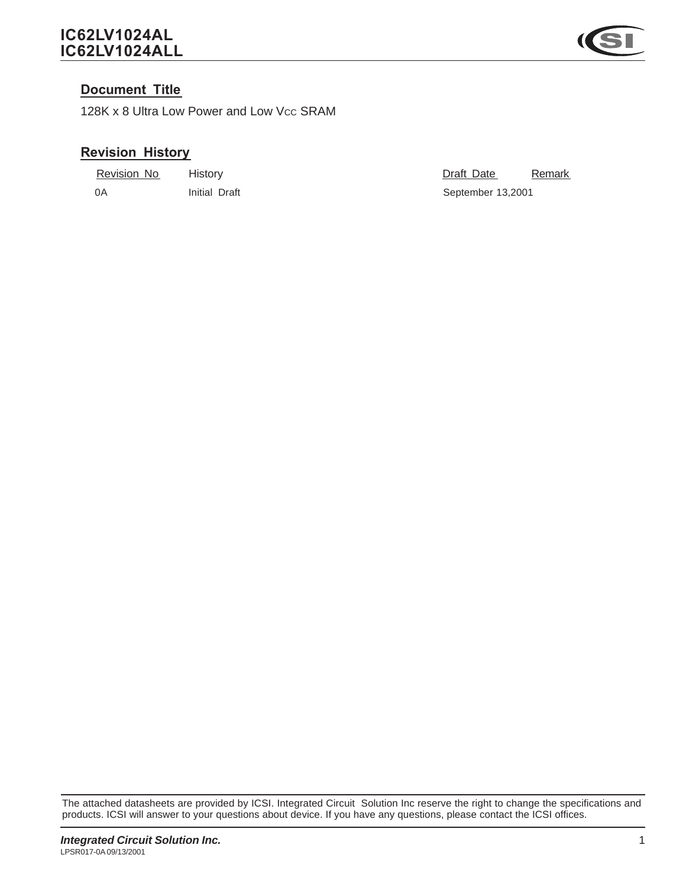### *IC62LV1024AL IC62LV1024ALL*



#### *Document Title*

128K x 8 Ultra Low Power and Low Vcc SRAM

### *Revision History*

| Revision No | History       | Draft Date        | Remark |
|-------------|---------------|-------------------|--------|
| - OA        | Initial Draft | September 13,2001 |        |

The attached datasheets are provided by ICSI. Integrated Circuit Solution Inc reserve the right to change the specifications and products. ICSI will answer to your questions about device. If you have any questions, please contact the ICSI offices.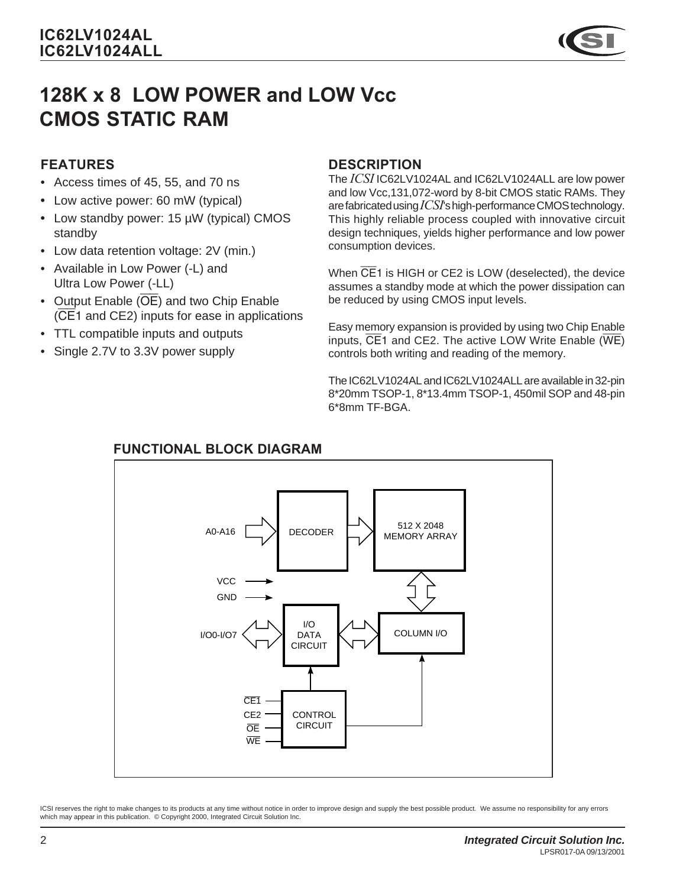# *128K x 8 LOW POWER and LOW Vcc CMOS STATIC RAM*

# *FEATURES*

- Access times of 45, 55, and 70 ns
- *•* Low active power: 60 mW (typical)
- *•* Low standby power: 15 µW (typical) CMOS standby
- Low data retention voltage: 2V (min.)
- Available in Low Power (-L) and Ultra Low Power (-LL)
- Output Enable  $(\overline{OE})$  and two Chip Enable (CE1 and CE2) inputs for ease in applications
- TTL compatible inputs and outputs
- Single 2.7V to 3.3V power supply

### *DESCRIPTION*

The *ICSI* IC62LV1024AL and IC62LV1024ALL are low power and low Vcc,131,072-word by 8-bit CMOS static RAMs. They are fabricated using *ICSI*'s high-performance CMOS technology. This highly reliable process coupled with innovative circuit design techniques, yields higher performance and low power consumption devices.

When CE1 is HIGH or CE2 is LOW (deselected), the device assumes a standby mode at which the power dissipation can be reduced by using CMOS input levels.

Easy memory expansion is provided by using two Chip Enable inputs, CE1 and CE2. The active LOW Write Enable (WE) controls both writing and reading of the memory.

The IC62LV1024AL and IC62LV1024ALL are available in 32-pin 8\*20mm TSOP-1, 8\*13.4mm TSOP-1, 450mil SOP and 48-pin 6\*8mm TF-BGA.



# *FUNCTIONAL BLOCK DIAGRAM*

ICSI reserves the right to make changes to its products at any time without notice in order to improve design and supply the best possible product. We assume no responsibility for any errors which may appear in this publication. © Copyright 2000, Integrated Circuit Solution Inc.

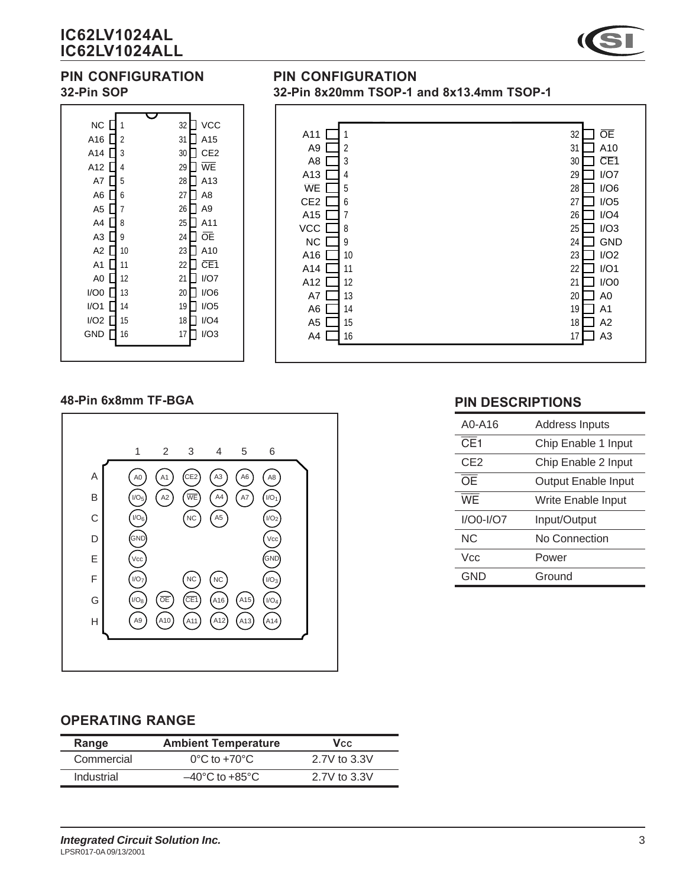# *IC62LV1024AL IC62LV1024ALL*



### *PIN CONFIGURATION 32-Pin SOP*



#### *PIN CONFIGURATION 32-Pin 8x20mm TSOP-1 and 8x13.4mm TSOP-1*



#### *48-Pin 6x8mm TF-BGA*



#### *PIN DESCRIPTIONS*

| A0-A16            | <b>Address Inputs</b> |
|-------------------|-----------------------|
| $\overline{CE}$ 1 | Chip Enable 1 Input   |
| CE <sub>2</sub>   | Chip Enable 2 Input   |
| <b>OE</b>         | Output Enable Input   |
| <b>WE</b>         | Write Enable Input    |
| $I/OO-I/O7$       | Input/Output          |
| ΝC                | No Connection         |
| Vcc               | Power                 |
| GND               | Ground                |

#### *OPERATING RANGE*

| Range      | <b>Ambient Temperature</b>         | <b>V</b> cc  |
|------------|------------------------------------|--------------|
| Commercial | $0^{\circ}$ C to +70 $^{\circ}$ C  | 2.7V to 3.3V |
| Industrial | $-40^{\circ}$ C to $+85^{\circ}$ C | 2.7V to 3.3V |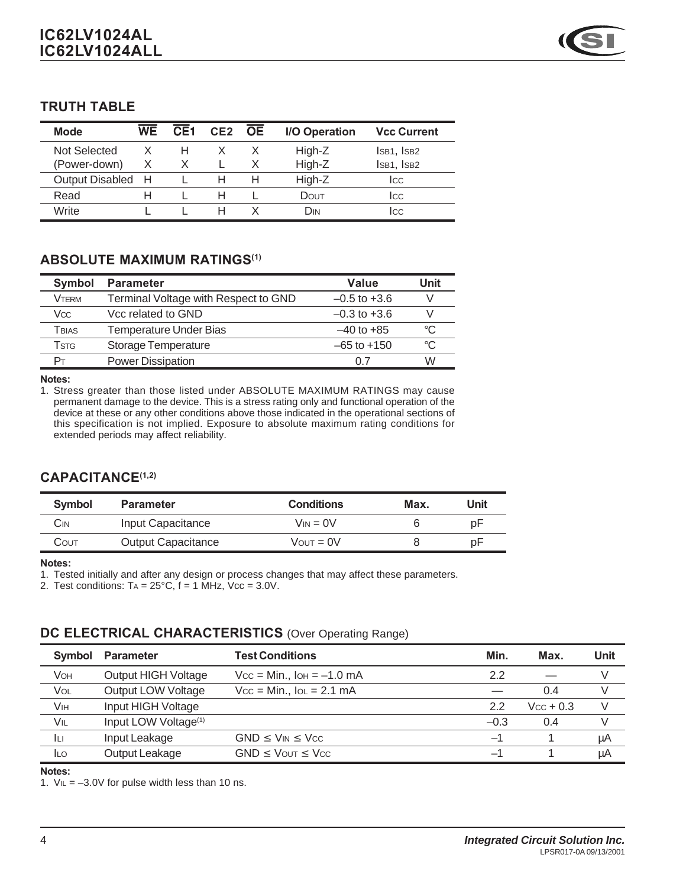#### *TRUTH TABLE*

| <b>Mode</b>       | WF | CFI | CE2 | <b>OF</b> | I/O Operation | <b>Vcc Current</b> |
|-------------------|----|-----|-----|-----------|---------------|--------------------|
| Not Selected      |    | н   |     |           | High-Z        | ISB1, ISB2         |
| (Power-down)      | X  |     |     |           | High-Z        | ISB1, ISB2         |
| Output Disabled H |    |     |     |           | High-Z        | Icc                |
| Read              |    |     |     |           | DOUT          | Icc                |
| Write             |    |     |     |           | Din           | Icc                |

#### *ABSOLUTE MAXIMUM RATINGS(1)*

| Symbol       | <b>Parameter</b>                     | Value            | Unit |
|--------------|--------------------------------------|------------------|------|
| <b>VTFRM</b> | Terminal Voltage with Respect to GND | $-0.5$ to $+3.6$ |      |
| Vcc          | Vcc related to GND                   | $-0.3$ to $+3.6$ |      |
| Tbias        | <b>Temperature Under Bias</b>        | $-40$ to $+85$   | °C   |
| Tstg         | <b>Storage Temperature</b>           | $-65$ to $+150$  | °C   |
|              | <b>Power Dissipation</b>             | 0 7              | W    |

*Notes:*

1. Stress greater than those listed under ABSOLUTE MAXIMUM RATINGS may cause permanent damage to the device. This is a stress rating only and functional operation of the device at these or any other conditions above those indicated in the operational sections of this specification is not implied. Exposure to absolute maximum rating conditions for extended periods may affect reliability.

#### *CAPACITANCE(1,2)*

| <b>Symbol</b> | <b>Parameter</b>          | <b>Conditions</b>     | Max. | Unit |
|---------------|---------------------------|-----------------------|------|------|
| CіN           | Input Capacitance         | $V_{IN} = 0V$         |      | p⊦   |
| COUT          | <b>Output Capacitance</b> | $V_{\text{OUT}} = 0V$ |      | рF   |

*Notes:*

1. Tested initially and after any design or process changes that may affect these parameters.

2. Test conditions:  $Ta = 25^{\circ}C$ ,  $f = 1$  MHz,  $Vcc = 3.0V$ .

#### **DC ELECTRICAL CHARACTERISTICS** (Over Operating Range)

| <b>Symbol</b> | <b>Parameter</b>                 | <b>Test Conditions</b>         | Min.   | Max.        | Unit |
|---------------|----------------------------------|--------------------------------|--------|-------------|------|
| VOH           | Output HIGH Voltage              | $Vcc = Min.$ , $IOH = -1.0 mA$ | 2.2    |             |      |
| VOL           | Output LOW Voltage               | $Vcc = Min.$ , $IOL = 2.1 mA$  |        | 0.4         |      |
| VIH           | Input HIGH Voltage               |                                | 2.2    | $Vcc + 0.3$ | V    |
| VIL           | Input LOW Voltage <sup>(1)</sup> |                                | $-0.3$ | 0.4         |      |
| Iц            | Input Leakage                    | $GND \leq V_{IN} \leq V_{CC}$  | -1     |             | μA   |
| <b>ILO</b>    | Output Leakage                   | $GND \leq V$ OUT $\leq V$ CC   | —1     |             | μA   |

*Notes:*

1.  $V_{IL} = -3.0V$  for pulse width less than 10 ns.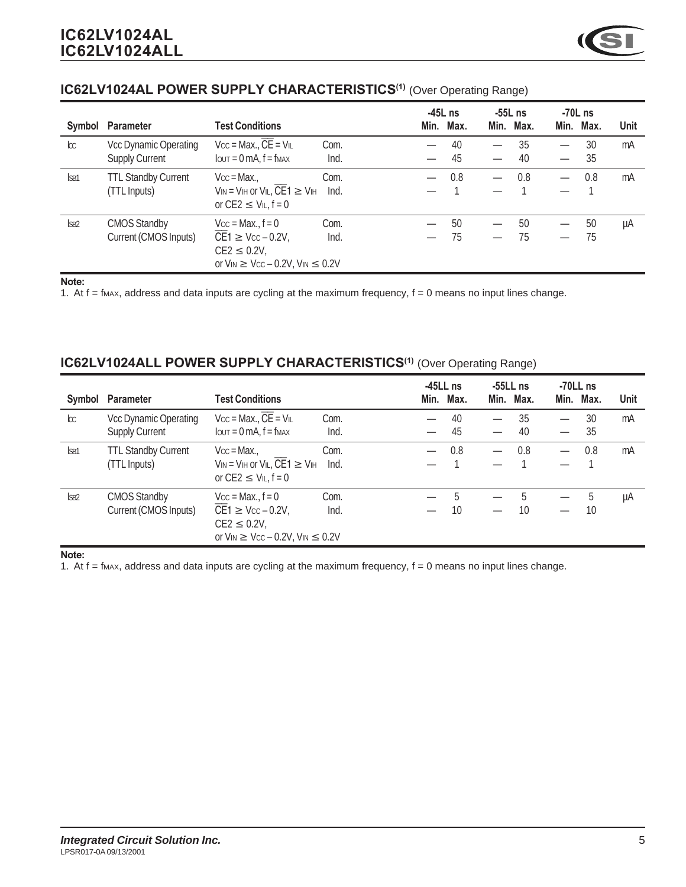|                  |                            |                                                                                                     |      | $-45L$ ns | -55L ns   |      | -70L ns |             |
|------------------|----------------------------|-----------------------------------------------------------------------------------------------------|------|-----------|-----------|------|---------|-------------|
| Symbol           | <b>Parameter</b>           | <b>Test Conditions</b>                                                                              |      | Min. Max. | Min. Max. | Min. | Max.    | <b>Unit</b> |
| $\infty$         | Vcc Dynamic Operating      | $Vcc = Max., CE = VIL$                                                                              | Com. | 40        | 35        |      | 30      | mA          |
|                  | <b>Supply Current</b>      | $I$ $OUT = 0$ mA, $f = f$ $MAX$                                                                     | Ind. | 45        | 40        | —    | 35      |             |
| ISB <sub>1</sub> | <b>TTL Standby Current</b> | $Vcc = Max.$                                                                                        | Com. | 0.8       | 0.8       |      | 0.8     | mA          |
|                  | (TTL Inputs)               | $V_{IN} = V_{IH}$ or $V_{IL}$ , CE1 $\geq$ $V_{IH}$<br>or $CE2 \leq V_{IL}$ , $f = 0$               | Ind. |           |           |      |         |             |
| <b>SB2</b>       | <b>CMOS Standby</b>        | $Vcc = Max., f = 0$                                                                                 | Com. | 50        | 50        |      | 50      | μA          |
|                  | Current (CMOS Inputs)      | $CE1 \geq Vcc - 0.2V$ ,<br>$CE2 \leq 0.2V$ ,<br>or $V_{IN} \geq V_{CC} - 0.2V$ , $V_{IN} \leq 0.2V$ | Ind. | 75        | 75        |      | 75      |             |

#### *IC62LV1024AL POWER SUPPLY CHARACTERISTICS(1)* (Over Operating Range)

#### *Note:*

1. At  $f = f$  max, address and data inputs are cycling at the maximum frequency,  $f = 0$  means no input lines change.

#### *IC62LV1024ALL POWER SUPPLY CHARACTERISTICS(1)* (Over Operating Range)

|                  |                            |                                                                                                     |      | $-45LL$ ns | $-55LL$ ns |                          | $-70LL$ ns |             |
|------------------|----------------------------|-----------------------------------------------------------------------------------------------------|------|------------|------------|--------------------------|------------|-------------|
| Symbol           | <b>Parameter</b>           | <b>Test Conditions</b>                                                                              |      | Min. Max.  | Min. Max.  | Min.                     | Max.       | <b>Unit</b> |
| $\infty$         | Vcc Dynamic Operating      | $Vcc = Max., CE = VIL$                                                                              | Com. | 40         | 35         |                          | 30         | mA          |
|                  | <b>Supply Current</b>      | $I$ $OUT = 0$ mA, $f = f$ $MAX$                                                                     | Ind. | 45         | 40         | —                        | 35         |             |
| ISB <sub>1</sub> | <b>TTL Standby Current</b> | $Vcc = Max.$                                                                                        | Com. | 0.8        | 0.8        | $\overline{\phantom{0}}$ | 0.8        | mA          |
|                  | (TTL Inputs)               | $V_{IN} = V_{IH}$ or $V_{IL}$ , CE1 $\geq$ $V_{IH}$<br>or $CE2 \leq V_{IL}$ , $f = 0$               | Ind. |            |            |                          |            |             |
| SB <sub>2</sub>  | <b>CMOS Standby</b>        | $Vcc = Max., f = 0$                                                                                 | Com. | 5          | 5          |                          | 5          | μA          |
|                  | Current (CMOS Inputs)      | $CE1 \geq Vcc - 0.2V$ ,<br>$CE2 \leq 0.2V$ ,<br>or $V_{IN} \geq V_{CC} - 0.2V$ , $V_{IN} \leq 0.2V$ | Ind. | 10         | 10         |                          | 10         |             |

#### *Note:*

1. At  $f = f$  max, address and data inputs are cycling at the maximum frequency,  $f = 0$  means no input lines change.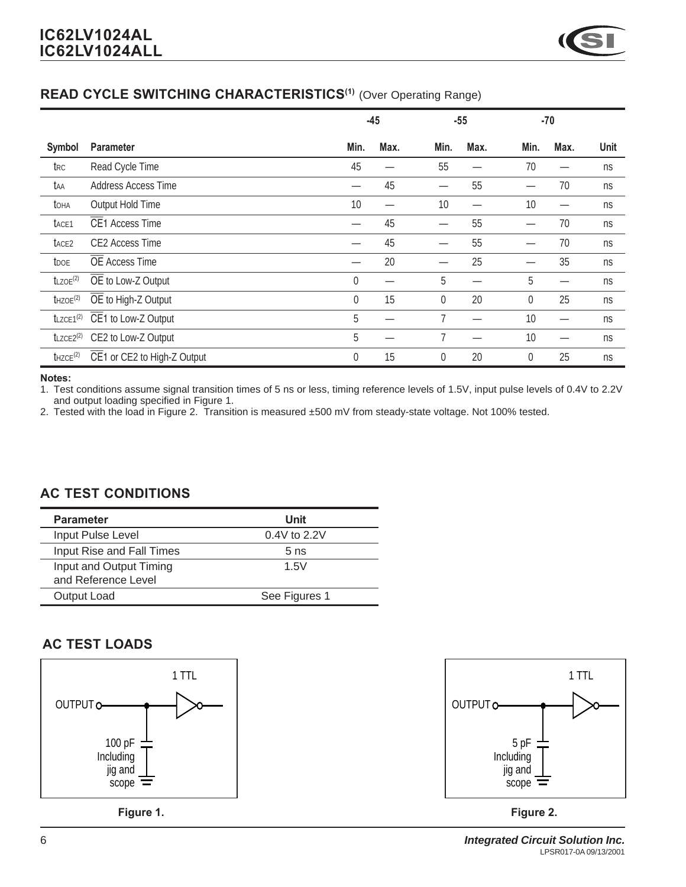### *READ CYCLE SWITCHING CHARACTERISTICS(1)* (Over Operating Range)

|                          |                             | $-45$       |      |                | $-55$ |             | $-70$ |      |
|--------------------------|-----------------------------|-------------|------|----------------|-------|-------------|-------|------|
| <b>Symbol</b>            | <b>Parameter</b>            | Min.        | Max. | Min.           | Max.  | Min.        | Max.  | Unit |
| t <sub>RC</sub>          | Read Cycle Time             | 45          |      | 55             |       | 70          |       | ns   |
| taa                      | Address Access Time         | —           | 45   |                | 55    |             | 70    | ns   |
| toha                     | Output Hold Time            | 10          |      | 10             |       | 10          |       | ns   |
| t <sub>ACE1</sub>        | <b>CE1 Access Time</b>      |             | 45   |                | 55    |             | 70    | ns   |
| t <sub>ACE2</sub>        | <b>CE2 Access Time</b>      |             | 45   |                | 55    |             | 70    | ns   |
| <b>t</b> <sub>DOE</sub>  | <b>OE</b> Access Time       |             | 20   |                | 25    |             | 35    | ns   |
| $t$ LZOE <sup>(2)</sup>  | OE to Low-Z Output          | $\mathbf 0$ |      | 5              |       | 5           |       | ns   |
| $t$ HZOE $(2)$           | OE to High-Z Output         | 0           | 15   | $\mathbf 0$    | 20    | $\mathbf 0$ | 25    | ns   |
| $t$ LZCE1 $(2)$          | CE1 to Low-Z Output         | 5           |      | $\overline{7}$ |       | 10          |       | ns   |
| $t$ LZCE2 <sup>(2)</sup> | CE2 to Low-Z Output         | 5           |      | 7              |       | 10          |       | ns   |
| $t$ HZCE $(2)$           | CE1 or CE2 to High-Z Output | 0           | 15   | 0              | 20    | $\mathbf 0$ | 25    | ns   |

#### *Notes:*

1. Test conditions assume signal transition times of 5 ns or less, timing reference levels of 1.5V, input pulse levels of 0.4V to 2.2V and output loading specified in Figure 1.

2. Tested with the load in Figure 2. Transition is measured ±500 mV from steady-state voltage. Not 100% tested.

#### *AC TEST CONDITIONS*

| <b>Parameter</b>                               | Unit            |
|------------------------------------------------|-----------------|
| Input Pulse Level                              | $0.4V$ to 2.2V  |
| Input Rise and Fall Times                      | 5 <sub>ns</sub> |
| Input and Output Timing<br>and Reference Level | 1.5V            |
| Output Load                                    | See Figures 1   |

### *AC TEST LOADS*





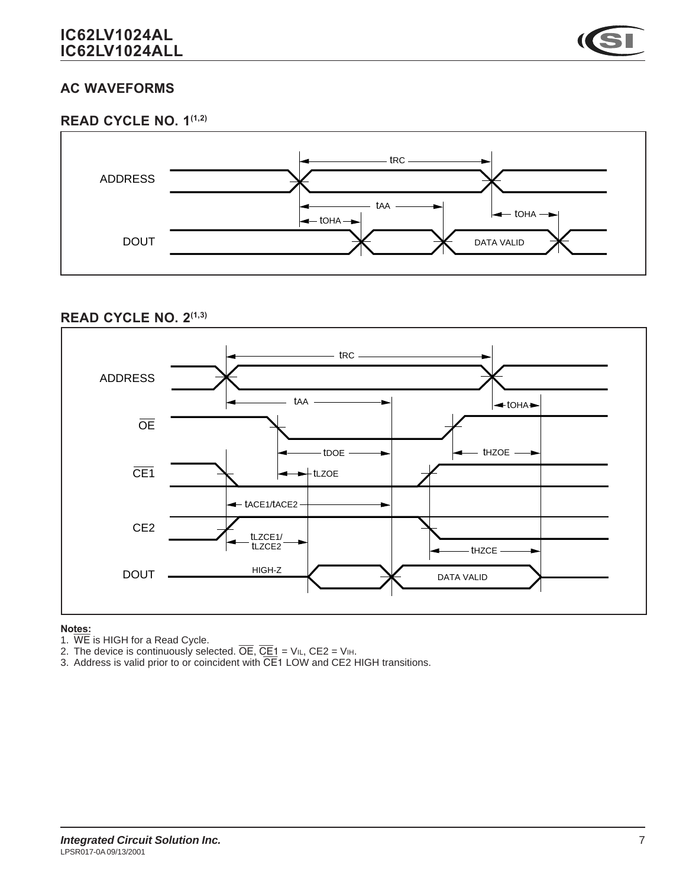

### *AC WAVEFORMS*





#### *READ CYCLE NO. 2(1,3)*



#### *Notes:*

- 1. WE is HIGH for a Read Cycle.
- 2. The device is continuously selected.  $\overline{OE}$ ,  $\overline{CE1}$  = V<sub>IL</sub>, CE2 = V<sub>IH</sub>.
- 3. Address is valid prior to or coincident with CE1 LOW and CE2 HIGH transitions.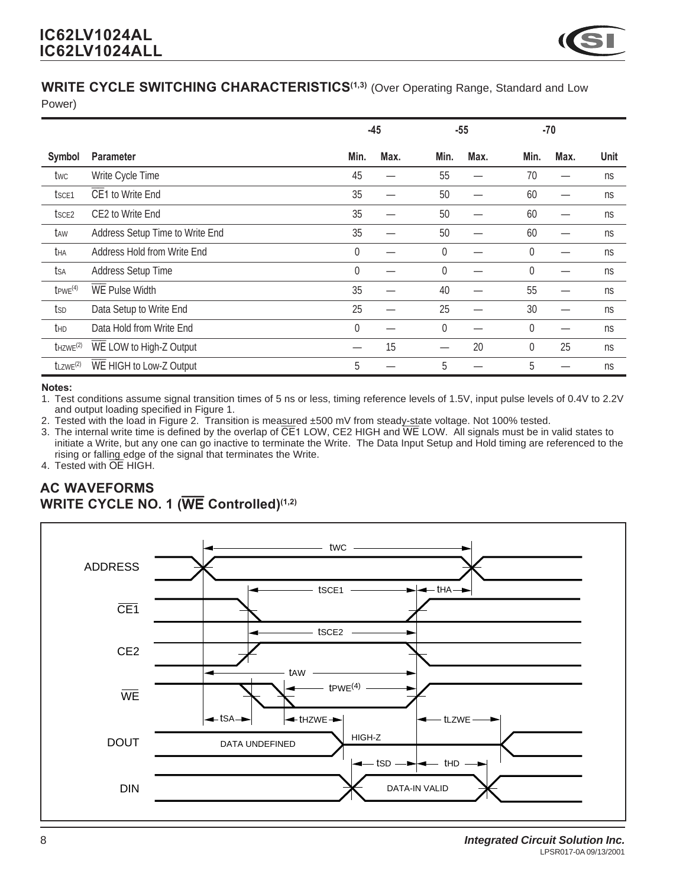

# **WRITE CYCLE SWITCHING CHARACTERISTICS<sup>(1,3)</sup> (Over Operating Range, Standard and Low**

Power)

|                         |                                 | $-45$ |      | $-55$ |      | $-70$ |                     |
|-------------------------|---------------------------------|-------|------|-------|------|-------|---------------------|
| Symbol                  | <b>Parameter</b>                | Min.  | Max. | Min.  | Max. | Min.  | Max.<br><b>Unit</b> |
| twc                     | Write Cycle Time                | 45    |      | 55    |      | 70    | ns                  |
| t <sub>sce1</sub>       | CE1 to Write End                | 35    |      | 50    |      | 60    | ns                  |
| t <sub>sce2</sub>       | CE2 to Write End                | 35    |      | 50    |      | 60    | ns                  |
| taw                     | Address Setup Time to Write End | 35    |      | 50    |      | 60    | ns                  |
| tha                     | Address Hold from Write End     | 0     |      | 0     |      | 0     | ns                  |
| tsa                     | Address Setup Time              | 0     |      | 0     |      | 0     | ns                  |
| $t$ PWE $(4)$           | <b>WE Pulse Width</b>           | 35    |      | 40    |      | 55    | ns                  |
| tsp                     | Data Setup to Write End         | 25    |      | 25    |      | 30    | ns                  |
| thd                     | Data Hold from Write End        | 0     |      | 0     |      | 0     | ns                  |
| $t$ HZWE $(2)$          | WE LOW to High-Z Output         |       | 15   |       | 20   | 0     | 25<br>ns            |
| $t$ LZWE <sup>(2)</sup> | WE HIGH to Low-Z Output         | 5     |      | 5     |      | 5     | ns                  |

#### *Notes:*

1. Test conditions assume signal transition times of 5 ns or less, timing reference levels of 1.5V, input pulse levels of 0.4V to 2.2V and output loading specified in Figure 1.

2. Tested with the load in Figure 2. Transition is measured ±500 mV from steady-state voltage. Not 100% tested.

3. The internal write time is defined by the overlap of  $\overline{CE}$ 1 LOW, CE2 HIGH and  $\overline{WE}$  LOW. All signals must be in valid states to initiate a Write, but any one can go inactive to terminate the Write. The Data Input Setup and Hold timing are referenced to the rising or falling edge of the signal that terminates the Write.

4. Tested with OE HIGH.

### *AC WAVEFORMS WRITE CYCLE NO. 1 (*WE *Controlled)(1,2)*

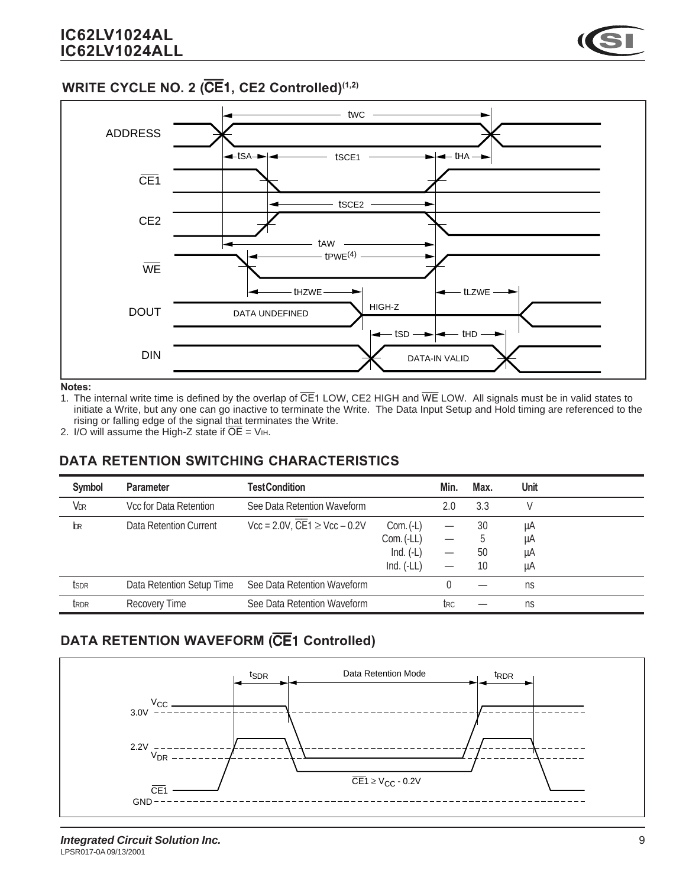### *WRITE CYCLE NO. 2 (*CE1*, CE2 Controlled)(1,2)*



*Notes:*

- 1. The internal write time is defined by the overlap of  $\overline{CE}$ 1 LOW, CE2 HIGH and WE LOW. All signals must be in valid states to initiate a Write, but any one can go inactive to terminate the Write. The Data Input Setup and Hold timing are referenced to the rising or falling edge of the signal that terminates the Write.
- 2. I/O will assume the High-Z state if  $\overline{OE}$  = V<sub>IH</sub>.

### *DATA RETENTION SWITCHING CHARACTERISTICS*

| <b>Symbol</b>    | <b>Parameter</b>          | <b>TestCondition</b>                                                                    |              | Min.                     | Max. | <b>Unit</b> |  |
|------------------|---------------------------|-----------------------------------------------------------------------------------------|--------------|--------------------------|------|-------------|--|
| VDR              | Vcc for Data Retention    | See Data Retention Waveform                                                             |              | 2.0                      | 3.3  |             |  |
| bк               | Data Retention Current    | $\text{Vcc} = 2.0 \text{V}$ , $\overline{\text{CE}} = 1 \geq \text{Vcc} - 0.2 \text{V}$ | $Com. (-L)$  |                          | 30   | μA          |  |
|                  |                           |                                                                                         | Com. (-LL)   |                          | ა    | μA          |  |
|                  |                           |                                                                                         | Ind. $(-L)$  | $\overline{\phantom{0}}$ | 50   | μA          |  |
|                  |                           |                                                                                         | $Ind. (-LL)$ |                          | 10   | μA          |  |
| tsdr             | Data Retention Setup Time | See Data Retention Waveform                                                             |              |                          |      | ns          |  |
| t <sub>RDR</sub> | <b>Recovery Time</b>      | See Data Retention Waveform                                                             |              | trc                      |      | ns          |  |

# *DATA RETENTION WAVEFORM (*CE1 *Controlled)*

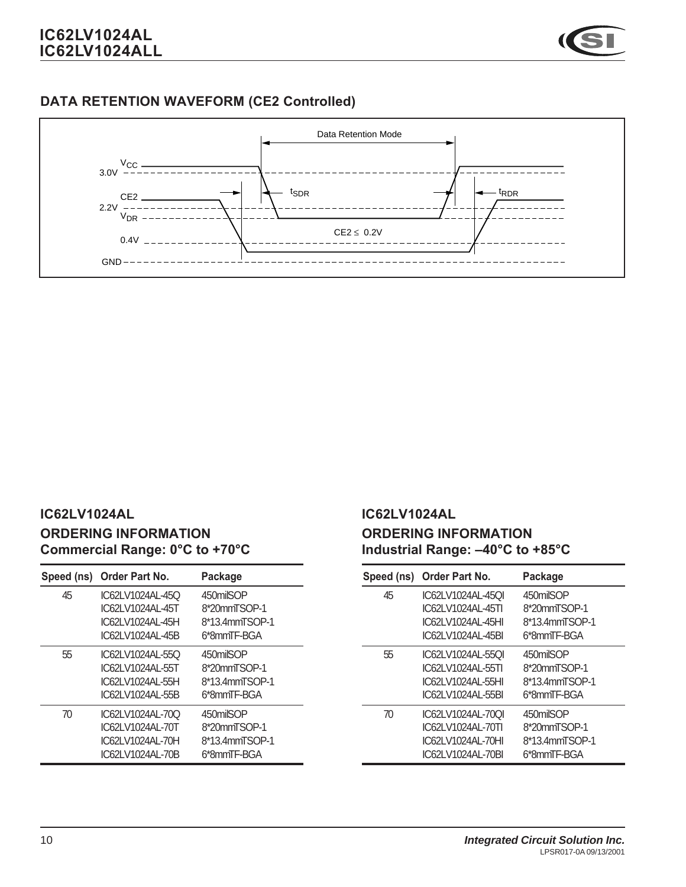

# *DATA RETENTION WAVEFORM (CE2 Controlled)*



### *IC62LV1024AL ORDERING INFORMATION Commercial Range: 0°C to +70°C*

| Speed (ns) | Order Part No.   | Package        |
|------------|------------------|----------------|
| 45         | IC62LV1024AL-45O | 450milSOP      |
|            | IC62LV1024AL-45T | 8*20mmTSOP-1   |
|            | IC62LV1024AL-45H | 8*13.4mmTSOP-1 |
|            | IC62LV1024AL-45B | 6*8mmTF-BGA    |
| 55         | IC62LV1024AL-55Q | 450milSOP      |
|            | IC62LV1024AL-55T | 8*20mmTSOP-1   |
|            | IC62LV1024AL-55H | 8*13.4mmTSOP-1 |
|            | IC62LV1024AL-55B | 6*8mmTF-BGA    |
| 70         | IC62LV1024AL-70Q | 450milSOP      |
|            | IC62LV1024AL-70T | 8*20mmTSOP-1   |
|            | IC62LV1024AL-70H | 8*13.4mmTSOP-1 |
|            | IC62LV1024AL-70B | 6*8mmTF-BGA    |

### *IC62LV1024AL ORDERING INFORMATION Industrial Range: –40°C to +85°C*

| Speed (ns) | <b>Order Part No.</b> | Package        |
|------------|-----------------------|----------------|
| 45         | IC62LV1024AL-45QI     | 450milSOP      |
|            | IC62LV1024AL-45TI     | 8*20mmTSOP-1   |
|            | IC62LV1024AL-45HI     | 8*13.4mmTSOP-1 |
|            | IC62LV1024AL-45BI     | 6*8mmTF-BGA    |
| 55         | IC62LV1024AL-55QI     | 450milSOP      |
|            | IC62LV1024AL-55TI     | 8*20mmTSOP-1   |
|            | IC62LV1024AL-55HL     | 8*13.4mmTSOP-1 |
|            | IC62LV1024AL-55BI     | 6*8mmTF-BGA    |
| 70         | IC62LV1024AL-70QI     | 450milSOP      |
|            | IC62LV1024AL-70TI     | 8*20mmTSOP-1   |
|            | IC62LV1024AL-70HI     | 8*13.4mmTSOP-1 |
|            | IC62LV1024AL-70BI     | 6*8mmTF-BGA    |